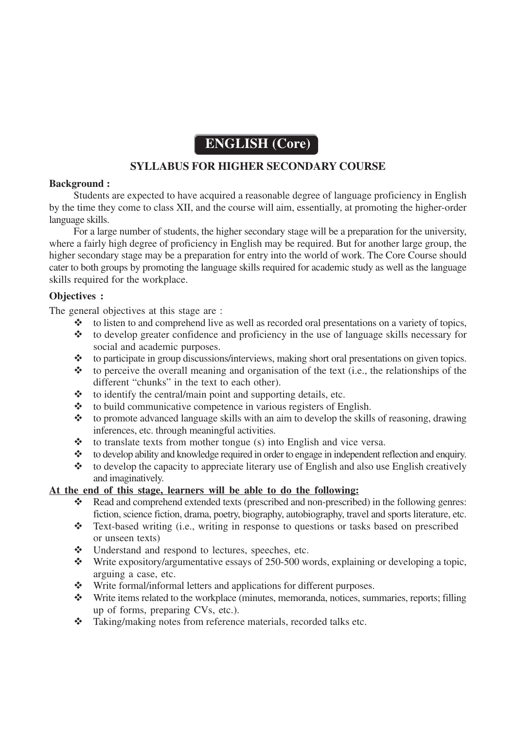# **ENGLISH (Core)**

## **SYLLABUS FOR HIGHER SECONDARY COURSE**

### **Background :**

Students are expected to have acquired a reasonable degree of language proficiency in English by the time they come to class XII, and the course will aim, essentially, at promoting the higher-order language skills.

For a large number of students, the higher secondary stage will be a preparation for the university, where a fairly high degree of proficiency in English may be required. But for another large group, the higher secondary stage may be a preparation for entry into the world of work. The Core Course should cater to both groups by promoting the language skills required for academic study as well as the language skills required for the workplace.

### **Objectives :**

The general objectives at this stage are :

- to listen to and comprehend live as well as recorded oral presentations on a variety of topics,
- $\cdot$  to develop greater confidence and proficiency in the use of language skills necessary for social and academic purposes.
- $\triangle$  to participate in group discussions/interviews, making short oral presentations on given topics.
- $\triangle$  to perceive the overall meaning and organisation of the text (i.e., the relationships of the different "chunks" in the text to each other).
- $\triangle$  to identify the central/main point and supporting details, etc.
- $\triangle$  to build communicative competence in various registers of English.
- $\triangle$  to promote advanced language skills with an aim to develop the skills of reasoning, drawing inferences, etc. through meaningful activities.
- $\triangle$  to translate texts from mother tongue (s) into English and vice versa.
- to develop ability and knowledge required in order to engage in independent reflection and enquiry.
- $\bullet\bullet\bullet$  to develop the capacity to appreciate literary use of English and also use English creatively and imaginatively.

## **At the end of this stage, learners will be able to do the following:**

- \* Read and comprehend extended texts (prescribed and non-prescribed) in the following genres: fiction, science fiction, drama, poetry, biography, autobiography, travel and sports literature, etc.
- Text-based writing (i.e., writing in response to questions or tasks based on prescribed or unseen texts)
- \* Understand and respond to lectures, speeches, etc.
- Write expository/argumentative essays of 250-500 words, explaining or developing a topic, arguing a case, etc.
- Write formal/informal letters and applications for different purposes.
- Write items related to the workplace (minutes, memoranda, notices, summaries, reports; filling up of forms, preparing CVs, etc.).
- \* Taking/making notes from reference materials, recorded talks etc.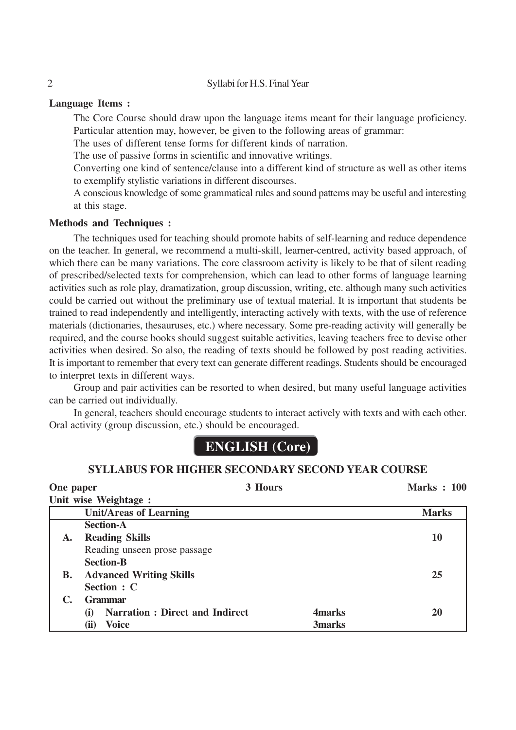2 Syllabi for H.S. Final Year

### **Language Items :**

The Core Course should draw upon the language items meant for their language proficiency. Particular attention may, however, be given to the following areas of grammar:

The uses of different tense forms for different kinds of narration.

The use of passive forms in scientific and innovative writings.

Converting one kind of sentence/clause into a different kind of structure as well as other items to exemplify stylistic variations in different discourses.

A conscious knowledge of some grammatical rules and sound pattems may be useful and interesting at this stage.

### **Methods and Techniques :**

The techniques used for teaching should promote habits of self-learning and reduce dependence on the teacher. In general, we recommend a multi-skill, learner-centred, activity based approach, of which there can be many variations. The core classroom activity is likely to be that of silent reading of prescribed/selected texts for comprehension, which can lead to other forms of language learning activities such as role play, dramatization, group discussion, writing, etc. although many such activities could be carried out without the preliminary use of textual material. It is important that students be trained to read independently and intelligently, interacting actively with texts, with the use of reference materials (dictionaries, thesauruses, etc.) where necessary. Some pre-reading activity will generally be required, and the course books should suggest suitable activities, leaving teachers free to devise other activities when desired. So also, the reading of texts should be followed by post reading activities. It is important to remember that every text can generate different readings. Students should be encouraged to interpret texts in different ways.

Group and pair activities can be resorted to when desired, but many useful language activities can be carried out individually.

In general, teachers should encourage students to interact actively with texts and with each other. Oral activity (group discussion, etc.) should be encouraged.

# **ENGLISH (Core)**

## **SYLLABUS FOR HIGHER SECONDARY SECOND YEAR COURSE**

| One paper |                                               | 3 Hours        | <b>Marks: 100</b> |  |
|-----------|-----------------------------------------------|----------------|-------------------|--|
|           | Unit wise Weightage :                         |                |                   |  |
|           | <b>Unit/Areas of Learning</b>                 |                | <b>Marks</b>      |  |
|           | <b>Section-A</b>                              |                |                   |  |
| A.        | <b>Reading Skills</b>                         |                | 10                |  |
|           | Reading unseen prose passage                  |                |                   |  |
|           | <b>Section-B</b>                              |                |                   |  |
| В.        | <b>Advanced Writing Skills</b>                |                | 25                |  |
|           | Section : C                                   |                |                   |  |
|           | <b>Grammar</b>                                |                |                   |  |
|           | <b>Narration : Direct and Indirect</b><br>(i) | <b>4</b> marks | 20                |  |
|           | (ii)<br><b>Voice</b>                          | <b>3marks</b>  |                   |  |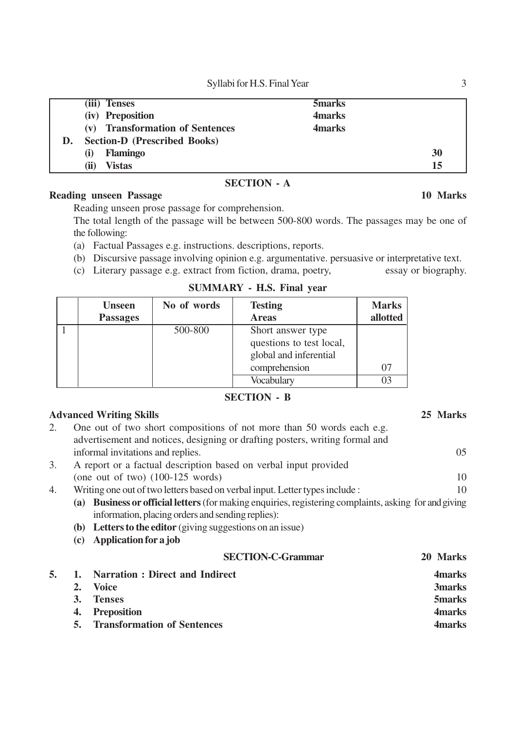Syllabi for H.S. Final Year 3

|    | (iii) Tenses                        | 5marks  |    |
|----|-------------------------------------|---------|----|
|    | (iv) Preposition                    | 4 marks |    |
|    | (v) Transformation of Sentences     | 4marks  |    |
| D. | <b>Section-D (Prescribed Books)</b> |         |    |
|    | <b>Flamingo</b><br>(i)              |         | 30 |
|    | <b>Vistas</b><br>(ii)               |         | 15 |
|    |                                     |         |    |

### **SECTION - A**

## **Reading unseen Passage 10 Marks**

Reading unseen prose passage for comprehension.

The total length of the passage will be between 500-800 words. The passages may be one of the following:

- (a) Factual Passages e.g. instructions. descriptions, reports.
- (b) Discursive passage involving opinion e.g. argumentative. persuasive or interpretative text.
- (c) Literary passage e.g. extract from fiction, drama, poetry, essay or biography.

| <b>Unseen</b>   | No of words | <b>Testing</b>           | <b>Marks</b> |
|-----------------|-------------|--------------------------|--------------|
| <b>Passages</b> |             | <b>Areas</b>             | allotted     |
|                 | 500-800     | Short answer type        |              |
|                 |             | questions to test local, |              |
|                 |             | global and inferential   |              |
|                 |             | comprehension            |              |
|                 |             | Vocabulary               |              |

### **SUMMARY - H.S. Final year**

### **SECTION - B**

## **Advanced Writing Skills 25 Marks**

- 2. One out of two short compositions of not more than 50 words each e.g. advertisement and notices, designing or drafting posters, writing formal and informal invitations and replies. 05 3. A report or a factual description based on verbal input provided (one out of two)  $(100-125 \text{ words})$  10 4. Writing one out of two letters based on verbal input. Letter types include : 10 **(a) Business or official letters** (for making enquiries, registering complaints, asking for and giving information, placing orders and sending replies): **(b) Letters to the editor** (giving suggestions on an issue) **(c) Application for a job SECTION-C-Grammar 20 Marks 5. 1. Narration : Direct and Indirect 4marks 2. Voice 3marks 3. Tenses 5marks 4. Preposition 4marks**
	- **5. Transformation of Sentences 4marks**